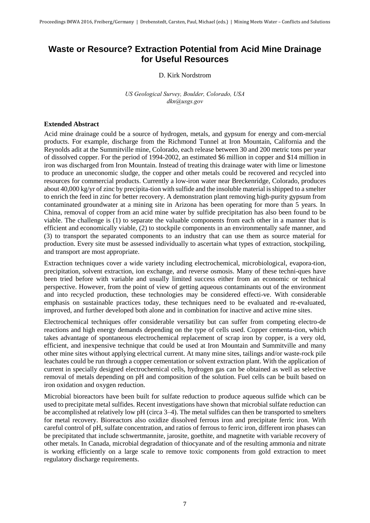## **Waste or Resource? Extraction Potential from Acid Mine Drainage for Useful Resources**

## D. Kirk Nordstrom

*US Geological Survey, Boulder, Colorado, USA dkn@usgs.gov*

## **Extended Abstract**

Acid mine drainage could be a source of hydrogen, metals, and gypsum for energy and com-mercial products. For example, discharge from the Richmond Tunnel at Iron Mountain, California and the Reynolds adit at the Summitville mine, Colorado, each release between 30 and 200 metric tons per year of dissolved copper. For the period of 1994-2002, an estimated \$6 million in copper and \$14 million in iron was discharged from Iron Mountain. Instead of treating this drainage water with lime or limestone to produce an uneconomic sludge, the copper and other metals could be recovered and recycled into resources for commercial products. Currently a low-iron water near Breckenridge, Colorado, produces about 40,000 kg/yr of zinc by precipita-tion with sulfide and the insoluble material is shipped to a smelter to enrich the feed in zinc for better recovery. A demonstration plant removing high-purity gypsum from contaminated groundwater at a mining site in Arizona has been operating for more than 5 years. In China, removal of copper from an acid mine water by sulfide precipitation has also been found to be viable. The challenge is (1) to separate the valuable components from each other in a manner that is efficient and economically viable, (2) to stockpile components in an environmentally safe manner, and (3) to transport the separated components to an industry that can use them as source material for production. Every site must be assessed individually to ascertain what types of extraction, stockpiling, and transport are most appropriate.

Extraction techniques cover a wide variety including electrochemical, microbiological, evapora-tion, precipitation, solvent extraction, ion exchange, and reverse osmosis. Many of these techni-ques have been tried before with variable and usually limited success either from an economic or technical perspective. However, from the point of view of getting aqueous contaminants out of the environment and into recycled production, these technologies may be considered effecti-ve. With considerable emphasis on sustainable practices today, these techniques need to be evaluated and re-evaluated, improved, and further developed both alone and in combination for inactive and active mine sites.

Electrochemical techniques offer considerable versatility but can suffer from competing electro-de reactions and high energy demands depending on the type of cells used. Copper cementa-tion, which takes advantage of spontaneous electrochemical replacement of scrap iron by copper, is a very old, efficient, and inexpensive technique that could be used at Iron Mountain and Summitville and many other mine sites without applying electrical current. At many mine sites, tailings and/or waste-rock pile leachates could be run through a copper cementation or solvent extraction plant. With the application of current in specially designed electrochemical cells, hydrogen gas can be obtained as well as selective removal of metals depending on pH and composition of the solution. Fuel cells can be built based on iron oxidation and oxygen reduction.

Microbial bioreactors have been built for sulfate reduction to produce aqueous sulfide which can be used to precipitate metal sulfides. Recent investigations have shown that microbial sulfate reduction can be accomplished at relatively low pH (circa 3–4). The metal sulfides can then be transported to smelters for metal recovery. Bioreactors also oxidize dissolved ferrous iron and precipitate ferric iron. With careful control of pH, sulfate concentration, and ratios of ferrous to ferric iron, different iron phases can be precipitated that include schwertmannite, jarosite, goethite, and magnetite with variable recovery of other metals. In Canada, microbial degradation of thiocyanate and of the resulting ammonia and nitrate is working efficiently on a large scale to remove toxic components from gold extraction to meet regulatory discharge requirements.